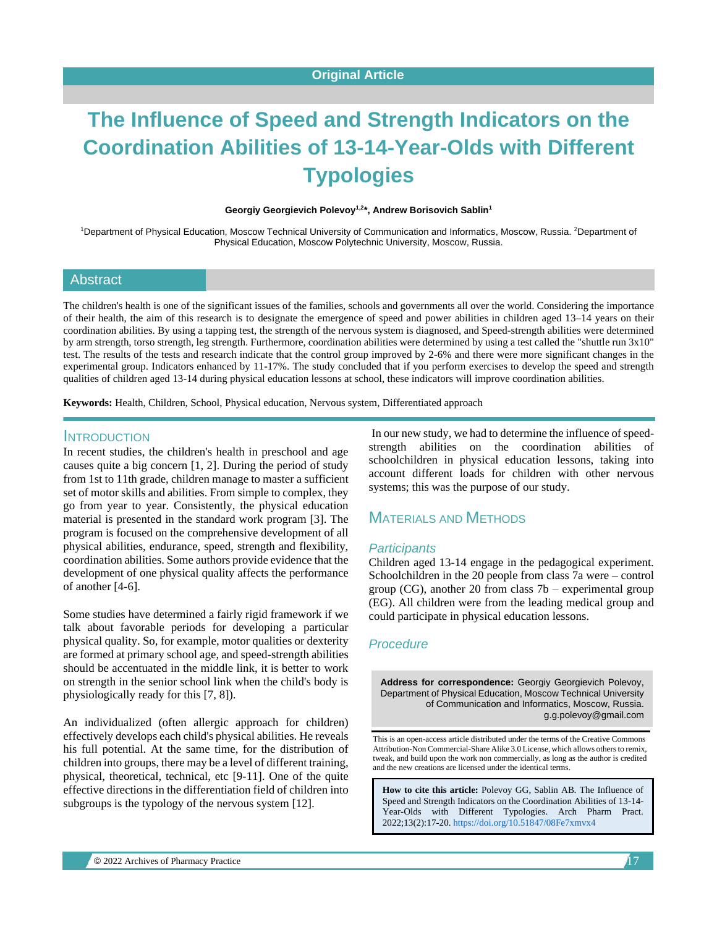# **The Influence of Speed and Strength Indicators on the Coordination Abilities of 13-14-Year-Olds with Different Typologies**

**Georgiy Georgievich Polevoy1,2 \*, Andrew Borisovich Sablin<sup>1</sup>**

<sup>1</sup>Department of Physical Education, Moscow Technical University of Communication and Informatics, Moscow, Russia. <sup>2</sup>Department of Physical Education, Moscow Polytechnic University, Moscow, Russia.

#### **Abstract**

The children's health is one of the significant issues of the families, schools and governments all over the world. Considering the importance of their health, the aim of this research is to designate the emergence of speed and power abilities in children aged 13–14 years on their coordination abilities. By using a tapping test, the strength of the nervous system is diagnosed, and Speed-strength abilities were determined by arm strength, torso strength, leg strength. Furthermore, coordination abilities were determined by using a test called the "shuttle run 3x10" test. The results of the tests and research indicate that the control group improved by 2-6% and there were more significant changes in the experimental group. Indicators enhanced by 11-17%. The study concluded that if you perform exercises to develop the speed and strength qualities of children aged 13-14 during physical education lessons at school, these indicators will improve coordination abilities.

**Keywords:** Health, Children, School, Physical education, Nervous system, Differentiated approach

#### **INTRODUCTION**

In recent studies, the children's health in preschool and age causes quite a big concern [1, 2]. During the period of study from 1st to 11th grade, children manage to master a sufficient set of motor skills and abilities. From simple to complex, they go from year to year. Consistently, the physical education material is presented in the standard work program [3]. The program is focused on the comprehensive development of all physical abilities, endurance, speed, strength and flexibility, coordination abilities. Some authors provide evidence that the development of one physical quality affects the performance of another [4-6].

Some studies have determined a fairly rigid framework if we talk about favorable periods for developing a particular physical quality. So, for example, motor qualities or dexterity are formed at primary school age, and speed-strength abilities should be accentuated in the middle link, it is better to work on strength in the senior school link when the child's body is physiologically ready for this [7, 8]).

An individualized (often allergic approach for children) effectively develops each child's physical abilities. He reveals his full potential. At the same time, for the distribution of children into groups, there may be a level of different training, physical, theoretical, technical, etc [9-11]. One of the quite effective directions in the differentiation field of children into subgroups is the typology of the nervous system [12].

In our new study, we had to determine the influence of speedstrength abilities on the coordination abilities of schoolchildren in physical education lessons, taking into account different loads for children with other nervous systems; this was the purpose of our study.

## MATERIALS AND METHODS

#### *Participants*

Children aged 13-14 engage in the pedagogical experiment. Schoolchildren in the 20 people from class 7a were – control group (CG), another 20 from class  $7b$  – experimental group (EG). All children were from the leading medical group and could participate in physical education lessons.

#### *Procedure*

**Address for correspondence:** Georgiy Georgievich Polevoy, Department of Physical Education, Moscow Technical University of Communication and Informatics, Moscow, Russia. g.g.polevoy@gmail.com

This is an open-access article distributed under the terms of the Creative Commons Attribution-Non Commercial-Share Alike 3.0 License, which allows others to remix, tweak, and build upon the work non commercially, as long as the author is credited and the new creations are licensed under the identical terms.

**How to cite this article:** Polevoy GG, Sablin AB*.* The Influence of Speed and Strength Indicators on the Coordination Abilities of 13-14- Year-Olds with Different Typologies. Arch Pharm Pract. 2022;13(2):17-20[. https://doi.org/10.51847/08Fe7xmvx4](https://doi.org/10.51847/08Fe7xmvx4)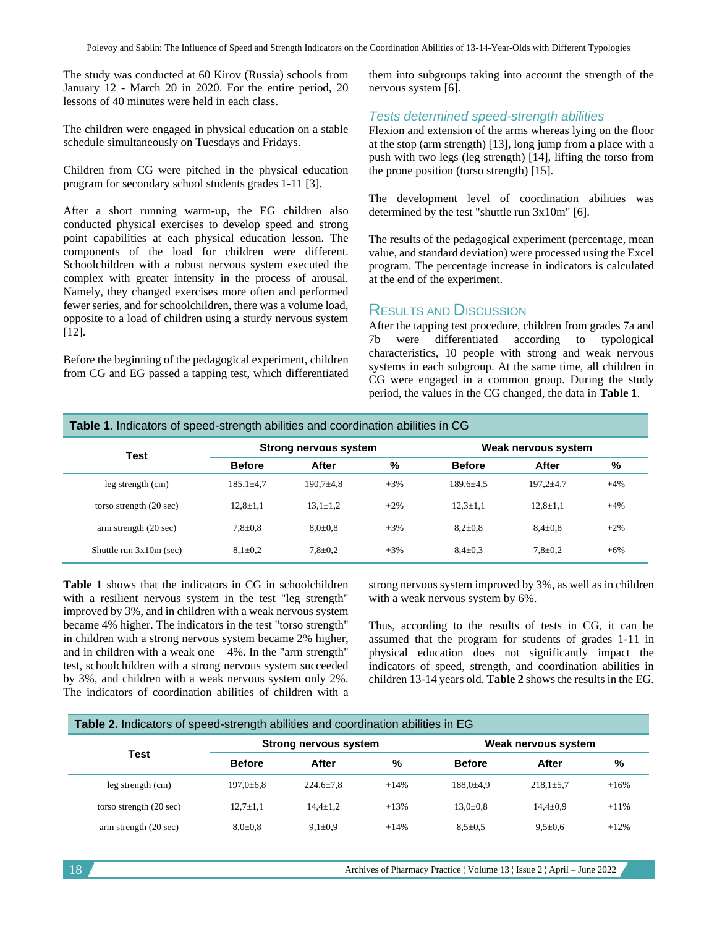The study was conducted at 60 Kirov (Russia) schools from January 12 - March 20 in 2020. For the entire period, 20 lessons of 40 minutes were held in each class.

The children were engaged in physical education on a stable schedule simultaneously on Tuesdays and Fridays.

Children from CG were pitched in the physical education program for secondary school students grades 1-11 [3].

After a short running warm-up, the EG children also conducted physical exercises to develop speed and strong point capabilities at each physical education lesson. The components of the load for children were different. Schoolchildren with a robust nervous system executed the complex with greater intensity in the process of arousal. Namely, they changed exercises more often and performed fewer series, and for schoolchildren, there was a volume load, opposite to a load of children using a sturdy nervous system [12].

Before the beginning of the pedagogical experiment, children from CG and EG passed a tapping test, which differentiated

them into subgroups taking into account the strength of the nervous system [6].

#### *Tests determined speed-strength abilities*

Flexion and extension of the arms whereas lying on the floor at the stop (arm strength) [13], long jump from a place with a push with two legs (leg strength) [14], lifting the torso from the prone position (torso strength) [15].

The development level of coordination abilities was determined by the test "shuttle run 3x10m" [6].

The results of the pedagogical experiment (percentage, mean value, and standard deviation) were processed using the Excel program. The percentage increase in indicators is calculated at the end of the experiment.

#### RESULTS AND DISCUSSION

After the tapping test procedure, children from grades 7a and 7b were differentiated according to typological characteristics, 10 people with strong and weak nervous systems in each subgroup. At the same time, all children in CG were engaged in a common group. During the study period, the values in the CG changed, the data in **Table 1**.

| <b>Table 1.</b> Indicators of speed-strength abilities and coordination abilities in CG |                              |                |        |                     |                |        |  |  |
|-----------------------------------------------------------------------------------------|------------------------------|----------------|--------|---------------------|----------------|--------|--|--|
| Test                                                                                    | <b>Strong nervous system</b> |                |        | Weak nervous system |                |        |  |  |
|                                                                                         | <b>Before</b>                | After          | %      | <b>Before</b>       | After          | %      |  |  |
| leg strength (cm)                                                                       | $185,1 \pm 4,7$              | $190.7 + 4.8$  | $+3%$  | $189.6 \pm 4.5$     | $197.2 + 4.7$  | $+4%$  |  |  |
| torso strength (20 sec)                                                                 | $12,8 \pm 1,1$               | $13,1 \pm 1,2$ | $+2\%$ | $12.3 \pm 1.1$      | $12,8 \pm 1,1$ | $+4%$  |  |  |
| arm strength (20 sec)                                                                   | $7.8 \pm 0.8$                | $8.0 \pm 0.8$  | $+3%$  | $8.2 \pm 0.8$       | $8.4 \pm 0.8$  | $+2\%$ |  |  |
| Shuttle run $3x10m$ (sec)                                                               | $8,1\pm0.2$                  | $7,8{\pm}0.2$  | $+3%$  | $8.4 \pm 0.3$       | $7,8 \pm 0.2$  | $+6%$  |  |  |

**Table 1** shows that the indicators in CG in schoolchildren with a resilient nervous system in the test "leg strength" improved by 3%, and in children with a weak nervous system became 4% higher. The indicators in the test "torso strength" in children with a strong nervous system became 2% higher, and in children with a weak one  $-4\%$ . In the "arm strength" test, schoolchildren with a strong nervous system succeeded by 3%, and children with a weak nervous system only 2%. The indicators of coordination abilities of children with a

strong nervous system improved by 3%, as well as in children with a weak nervous system by 6%.

Thus, according to the results of tests in CG, it can be assumed that the program for students of grades 1-11 in physical education does not significantly impact the indicators of speed, strength, and coordination abilities in children 13-14 years old. **Table 2** shows the results in the EG.

| Table 2. Indicators of speed-strength abilities and coordination abilities in EG |                              |                 |        |                     |                 |         |  |  |
|----------------------------------------------------------------------------------|------------------------------|-----------------|--------|---------------------|-----------------|---------|--|--|
|                                                                                  | <b>Strong nervous system</b> |                 |        | Weak nervous system |                 |         |  |  |
| Test                                                                             | <b>Before</b>                | After           | %      | <b>Before</b>       | After           | %       |  |  |
| leg strength (cm)                                                                | $197.0 \pm 6.8$              | $224.6 \pm 7.8$ | $+14%$ | $188.0{\pm}4.9$     | $218.1 \pm 5.7$ | $+16%$  |  |  |
| torso strength (20 sec)                                                          | $12.7 \pm 1.1$               | $14.4 \pm 1.2$  | $+13%$ | $13.0 \pm 0.8$      | $14.4 \pm 0.9$  | $+11\%$ |  |  |
| arm strength (20 sec)                                                            | $8.0{\pm}0.8$                | $9.1 \pm 0.9$   | $+14%$ | $8.5 \pm 0.5$       | $9.5 \pm 0.6$   | $+12%$  |  |  |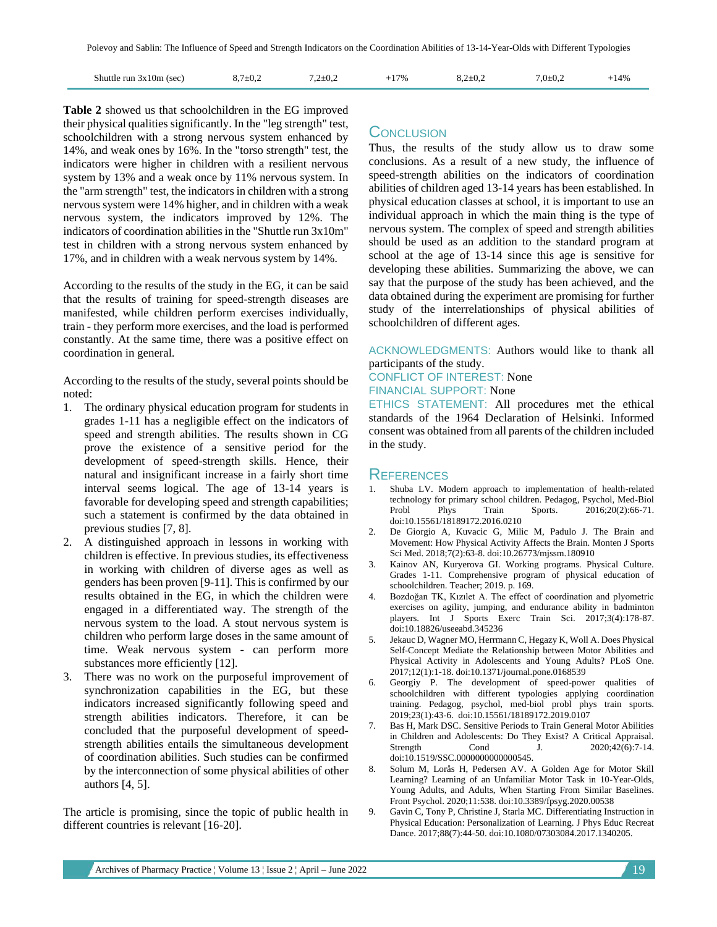| Shuttle run $3x10m$ (sec) | $8.7 \pm 0.2$ | $7,2{\pm}0.2$ | $+17%$ | $8.2 \pm 0.2$ | $7,0{\pm}0.2$ | $+14%$ |
|---------------------------|---------------|---------------|--------|---------------|---------------|--------|
|                           |               |               |        |               |               |        |

**Table 2** showed us that schoolchildren in the EG improved their physical qualities significantly. In the "leg strength" test, schoolchildren with a strong nervous system enhanced by 14%, and weak ones by 16%. In the "torso strength" test, the indicators were higher in children with a resilient nervous system by 13% and a weak once by 11% nervous system. In the "arm strength" test, the indicators in children with a strong nervous system were 14% higher, and in children with a weak nervous system, the indicators improved by 12%. The indicators of coordination abilities in the "Shuttle run 3x10m" test in children with a strong nervous system enhanced by 17%, and in children with a weak nervous system by 14%.

According to the results of the study in the EG, it can be said that the results of training for speed-strength diseases are manifested, while children perform exercises individually, train - they perform more exercises, and the load is performed constantly. At the same time, there was a positive effect on coordination in general.

According to the results of the study, several points should be noted:

- 1. The ordinary physical education program for students in grades 1-11 has a negligible effect on the indicators of speed and strength abilities. The results shown in CG prove the existence of a sensitive period for the development of speed-strength skills. Hence, their natural and insignificant increase in a fairly short time interval seems logical. The age of 13-14 years is favorable for developing speed and strength capabilities; such a statement is confirmed by the data obtained in previous studies [7, 8].
- 2. A distinguished approach in lessons in working with children is effective. In previous studies, its effectiveness in working with children of diverse ages as well as genders has been proven [9-11]. This is confirmed by our results obtained in the EG, in which the children were engaged in a differentiated way. The strength of the nervous system to the load. A stout nervous system is children who perform large doses in the same amount of time. Weak nervous system - can perform more substances more efficiently [12].
- 3. There was no work on the purposeful improvement of synchronization capabilities in the EG, but these indicators increased significantly following speed and strength abilities indicators. Therefore, it can be concluded that the purposeful development of speedstrength abilities entails the simultaneous development of coordination abilities. Such studies can be confirmed by the interconnection of some physical abilities of other authors [4, 5].

The article is promising, since the topic of public health in different countries is relevant [16-20].

## **CONCLUSION**

Thus, the results of the study allow us to draw some conclusions. As a result of a new study, the influence of speed-strength abilities on the indicators of coordination abilities of children aged 13-14 years has been established. In physical education classes at school, it is important to use an individual approach in which the main thing is the type of nervous system. The complex of speed and strength abilities should be used as an addition to the standard program at school at the age of 13-14 since this age is sensitive for developing these abilities. Summarizing the above, we can say that the purpose of the study has been achieved, and the data obtained during the experiment are promising for further study of the interrelationships of physical abilities of schoolchildren of different ages.

ACKNOWLEDGMENTS: Authors would like to thank all participants of the study.

## CONFLICT OF INTEREST: None

#### FINANCIAL SUPPORT: None

ETHICS STATEMENT: All procedures met the ethical standards of the 1964 Declaration of Helsinki. Informed consent was obtained from all parents of the children included in the study.

## REFERENCES

- Shuba LV. Modern approach to implementation of health-related technology for primary school children. Pedagog, Psychol, Med-Biol Probl Phys Train Sports. 2016;20(2):66-71. doi:10.15561/18189172.2016.0210
- 2. De Giorgio A, Kuvacic G, Milic M, Padulo J. The Brain and Movement: How Physical Activity Affects the Brain. Monten J Sports Sci Med. 2018;7(2):63-8. doi:10.26773/mjssm.180910
- 3. Kainov AN, Kuryerova GI. Working programs. Physical Culture. Grades 1-11. Comprehensive program of physical education of schoolchildren. Teacher; 2019. p. 169.
- 4. Bozdoğan TK, Kızılet A. The effect of coordination and plyometric exercises on agility, jumping, and endurance ability in badminton players. Int J Sports Exerc Train Sci. 2017;3(4):178-87. doi:10.18826/useeabd.345236
- 5. Jekauc D, Wagner MO, Herrmann C, Hegazy K, Woll A. Does Physical Self-Concept Mediate the Relationship between Motor Abilities and Physical Activity in Adolescents and Young Adults? PLoS One. 2017;12(1):1-18. doi:10.1371/journal.pone.0168539
- 6. Georgiy P. The development of speed-power qualities of schoolchildren with different typologies applying coordination training. Pedagog, psychol, med-biol probl phys train sports. 2019;23(1):43-6. doi:10.15561/18189172.2019.0107
- Bas H, Mark DSC. Sensitive Periods to Train General Motor Abilities in Children and Adolescents: Do They Exist? A Critical Appraisal. Strength Cond J. 2020;42(6):7-14. doi:10.1519/SSC.0000000000000545.
- 8. Solum M, Lorås H, Pedersen AV. A Golden Age for Motor Skill Learning? Learning of an Unfamiliar Motor Task in 10-Year-Olds, Young Adults, and Adults, When Starting From Similar Baselines. Front Psychol. 2020;11:538. doi:10.3389/fpsyg.2020.00538
- 9. Gavin C, Tony P, Christine J, Starla MC. Differentiating Instruction in Physical Education: Personalization of Learning. J Phys Educ Recreat Dance. 2017;88(7):44-50. doi:10.1080/07303084.2017.1340205.